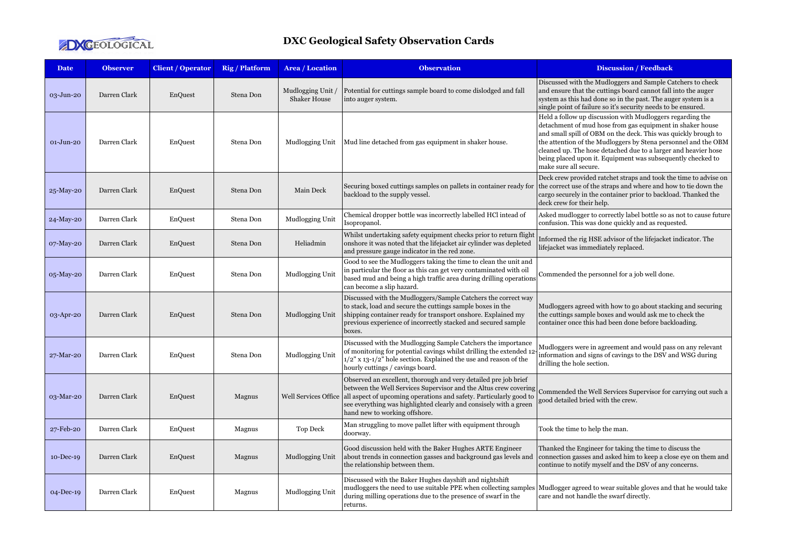

## **DXC Geological Safety Observation Cards**

| <b>Date</b>   | <b>Observer</b> | <b>Client / Operator</b> | <b>Rig / Platform</b> | Area / Location                          | <b>Observation</b>                                                                                                                                                                                                                                                                                              | <b>Discussion / Feedback</b>                                                                                                                                                                                                                                                                                                                                                                                         |
|---------------|-----------------|--------------------------|-----------------------|------------------------------------------|-----------------------------------------------------------------------------------------------------------------------------------------------------------------------------------------------------------------------------------------------------------------------------------------------------------------|----------------------------------------------------------------------------------------------------------------------------------------------------------------------------------------------------------------------------------------------------------------------------------------------------------------------------------------------------------------------------------------------------------------------|
| 03-Jun-20     | Darren Clark    | EnQuest                  | Stena Don             | Mudlogging Unit /<br><b>Shaker House</b> | Potential for cuttings sample board to come dislodged and fall<br>into auger system.                                                                                                                                                                                                                            | Discussed with the Mudloggers and Sample Catchers to check<br>and ensure that the cuttings board cannot fall into the auger<br>system as this had done so in the past. The auger system is a<br>single point of failure so it's security needs to be ensured.                                                                                                                                                        |
| $01-J$ un-20  | Darren Clark    | EnQuest                  | Stena Don             | Mudlogging Unit                          | Mud line detached from gas equipment in shaker house.                                                                                                                                                                                                                                                           | Held a follow up discussion with Mudloggers regarding the<br>detachment of mud hose from gas equipment in shaker house<br>and small spill of OBM on the deck. This was quickly brough to<br>the attention of the Mudloggers by Stena personnel and the OBM<br>cleaned up. The hose detached due to a larger and heavier hose<br>being placed upon it. Equipment was subsequently checked to<br>make sure all secure. |
| 25-May-20     | Darren Clark    | EnQuest                  | Stena Don             | Main Deck                                | Securing boxed cuttings samples on pallets in container ready for<br>backload to the supply vessel.                                                                                                                                                                                                             | Deck crew provided ratchet straps and took the time to advise on<br>the correct use of the straps and where and how to tie down the<br>cargo securely in the container prior to backload. Thanked the<br>deck crew for their help.                                                                                                                                                                                   |
| 24-May-20     | Darren Clark    | EnQuest                  | Stena Don             | Mudlogging Unit                          | Chemical dropper bottle was incorrectly labelled HCl intead of<br>Isopropanol.                                                                                                                                                                                                                                  | Asked mudlogger to correctly label bottle so as not to cause future<br>confusion. This was done quickly and as requested.                                                                                                                                                                                                                                                                                            |
| 07-May-20     | Darren Clark    | EnQuest                  | Stena Don             | Heliadmin                                | Whilst undertaking safety equipment checks prior to return flight<br>onshore it was noted that the lifejacket air cylinder was depleted<br>and pressure gauge indicator in the red zone.                                                                                                                        | Informed the rig HSE advisor of the lifejacket indicator. The<br>lifejacket was immediately replaced.                                                                                                                                                                                                                                                                                                                |
| 05-May-20     | Darren Clark    | EnQuest                  | Stena Don             | Mudlogging Unit                          | Good to see the Mudloggers taking the time to clean the unit and<br>in particular the floor as this can get very contaminated with oil<br>based mud and being a high traffic area during drilling operations<br>can become a slip hazard.                                                                       | Commended the personnel for a job well done.                                                                                                                                                                                                                                                                                                                                                                         |
| 03-Apr-20     | Darren Clark    | EnQuest                  | Stena Don             | Mudlogging Unit                          | Discussed with the Mudloggers/Sample Catchers the correct way<br>to stack, load and secure the cuttings sample boxes in the<br>shipping container ready for transport onshore. Explained my<br>previous experience of incorrectly stacked and secured sample<br>boxes.                                          | Mudloggers agreed with how to go about stacking and securing<br>the cuttings sample boxes and would ask me to check the<br>container once this had been done before backloading.                                                                                                                                                                                                                                     |
| 27-Mar-20     | Darren Clark    | EnQuest                  | Stena Don             | Mudlogging Unit                          | Discussed with the Mudlogging Sample Catchers the importance<br>of monitoring for potential cavings whilst drilling the extended 12<br>$1/2$ " x 13-1/2" hole section. Explained the use and reason of the<br>hourly cuttings / cavings board.                                                                  | Mudloggers were in agreement and would pass on any relevant<br>information and signs of cavings to the DSV and WSG during<br>drilling the hole section.                                                                                                                                                                                                                                                              |
| 03-Mar-20     | Darren Clark    | EnQuest                  | Magnus                | <b>Well Services Office</b>              | Observed an excellent, thorough and very detailed pre job brief<br>between the Well Services Supervisor and the Altus crew covering<br>all aspect of upcoming operations and safety. Particularly good to<br>see everything was highlighted clearly and consisely with a green<br>hand new to working offshore. | Commended the Well Services Supervisor for carrying out such a<br>good detailed bried with the crew.                                                                                                                                                                                                                                                                                                                 |
| 27-Feb-20     | Darren Clark    | EnQuest                  | Magnus                | Top Deck                                 | Man struggling to move pallet lifter with equipment through<br>doorway.                                                                                                                                                                                                                                         | Took the time to help the man.                                                                                                                                                                                                                                                                                                                                                                                       |
| $10 - Dec-19$ | Darren Clark    | EnQuest                  | Magnus                | Mudlogging Unit                          | Good discussion held with the Baker Hughes ARTE Engineer<br>about trends in connection gasses and background gas levels and<br>the relationship between them.                                                                                                                                                   | Thanked the Engineer for taking the time to discuss the<br>connection gasses and asked him to keep a close eye on them and<br>continue to notify myself and the DSV of any concerns.                                                                                                                                                                                                                                 |
| $O4-Dec-19$   | Darren Clark    | EnQuest                  | Magnus                | Mudlogging Unit                          | Discussed with the Baker Hughes dayshift and nightshift<br>mudloggers the need to use suitable PPE when collecting samples<br>during milling operations due to the presence of swarf in the<br>returns.                                                                                                         | Mudlogger agreed to wear suitable gloves and that he would take<br>care and not handle the swarf directly.                                                                                                                                                                                                                                                                                                           |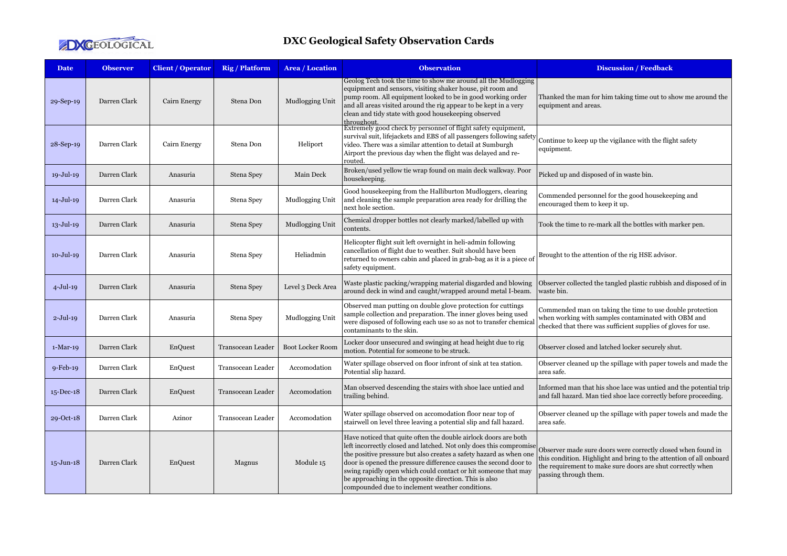

## **DXC Geological Safety Observation Cards**

| <b>Date</b>      | <b>Observer</b> | <b>Client / Operator</b> | <b>Rig / Platform</b> | Area / Location         | <b>Observation</b>                                                                                                                                                                                                                                                                                                                                                                                                                                             | <b>Discussion / Feedback</b>                                                                                                                                                                                               |
|------------------|-----------------|--------------------------|-----------------------|-------------------------|----------------------------------------------------------------------------------------------------------------------------------------------------------------------------------------------------------------------------------------------------------------------------------------------------------------------------------------------------------------------------------------------------------------------------------------------------------------|----------------------------------------------------------------------------------------------------------------------------------------------------------------------------------------------------------------------------|
| 29-Sep-19        | Darren Clark    | Cairn Energy             | Stena Don             | Mudlogging Unit         | Geolog Tech took the time to show me around all the Mudlogging<br>equipment and sensors, visiting shaker house, pit room and<br>pump room. All equipment looked to be in good working order<br>and all areas visited around the rig appear to be kept in a very<br>clean and tidy state with good housekeeping observed<br>throughout                                                                                                                          | Thanked the man for him taking time out to show me around the<br>equipment and areas.                                                                                                                                      |
| 28-Sep-19        | Darren Clark    | Cairn Energy             | Stena Don             | Heliport                | Extremely good check by personnel of flight safety equipment,<br>survival suit, lifejackets and EBS of all passengers following safety<br>video. There was a similar attention to detail at Sumburgh<br>Airport the previous day when the flight was delayed and re-<br>routed.                                                                                                                                                                                | Continue to keep up the vigilance with the flight safety<br>equipment.                                                                                                                                                     |
| 19-Jul-19        | Darren Clark    | Anasuria                 | Stena Spey            | Main Deck               | Broken/used yellow tie wrap found on main deck walkway. Poor<br>housekeeping.                                                                                                                                                                                                                                                                                                                                                                                  | Picked up and disposed of in waste bin.                                                                                                                                                                                    |
| 14-Jul-19        | Darren Clark    | Anasuria                 | Stena Spey            | Mudlogging Unit         | Good housekeeping from the Halliburton Mudloggers, clearing<br>and cleaning the sample preparation area ready for drilling the<br>next hole section.                                                                                                                                                                                                                                                                                                           | Commended personnel for the good housekeeping and<br>encouraged them to keep it up.                                                                                                                                        |
| 13-Jul-19        | Darren Clark    | Anasuria                 | Stena Spey            | Mudlogging Unit         | Chemical dropper bottles not clearly marked/labelled up with<br>contents.                                                                                                                                                                                                                                                                                                                                                                                      | Took the time to re-mark all the bottles with marker pen.                                                                                                                                                                  |
| $10 -$ Jul $-19$ | Darren Clark    | Anasuria                 | Stena Spey            | Heliadmin               | Helicopter flight suit left overnight in heli-admin following<br>cancellation of flight due to weather. Suit should have been<br>returned to owners cabin and placed in grab-bag as it is a piece of<br>safety equipment.                                                                                                                                                                                                                                      | Brought to the attention of the rig HSE advisor.                                                                                                                                                                           |
| $4-Jul-19$       | Darren Clark    | Anasuria                 | Stena Spey            | Level 3 Deck Area       | Waste plastic packing/wrapping material disgarded and blowing<br>around deck in wind and caught/wrapped around metal I-beam.                                                                                                                                                                                                                                                                                                                                   | Observer collected the tangled plastic rubbish and disposed of in<br>waste bin.                                                                                                                                            |
| $2-Jul-19$       | Darren Clark    | Anasuria                 | Stena Spey            | Mudlogging Unit         | Observed man putting on double glove protection for cuttings<br>sample collection and preparation. The inner gloves being used<br>were disposed of following each use so as not to transfer chemical<br>contaminants to the skin.                                                                                                                                                                                                                              | Commended man on taking the time to use double protection<br>when working with samples contaminated with OBM and<br>checked that there was sufficient supplies of gloves for use.                                          |
| $1-Mar-19$       | Darren Clark    | EnQuest                  | Transocean Leader     | <b>Boot Locker Room</b> | Locker door unsecured and swinging at head height due to rig<br>motion. Potential for someone to be struck.                                                                                                                                                                                                                                                                                                                                                    | Observer closed and latched locker securely shut.                                                                                                                                                                          |
| $9$ -Feb-19      | Darren Clark    | EnQuest                  | Transocean Leader     | Accomodation            | Water spillage observed on floor infront of sink at tea station.<br>Potential slip hazard.                                                                                                                                                                                                                                                                                                                                                                     | Observer cleaned up the spillage with paper towels and made the<br>area safe.                                                                                                                                              |
| $15$ -Dec-18     | Darren Clark    | EnQuest                  | Transocean Leader     | Accomodation            | Man observed descending the stairs with shoe lace untied and<br>trailing behind.                                                                                                                                                                                                                                                                                                                                                                               | Informed man that his shoe lace was untied and the potential trip<br>and fall hazard. Man tied shoe lace correctly before proceeding.                                                                                      |
| 29-Oct-18        | Darren Clark    | Azinor                   | Transocean Leader     | Accomodation            | Water spillage observed on accomodation floor near top of<br>stairwell on level three leaving a potential slip and fall hazard.                                                                                                                                                                                                                                                                                                                                | Observer cleaned up the spillage with paper towels and made the<br>area safe.                                                                                                                                              |
| $15 - Jun-18$    | Darren Clark    | EnQuest                  | Magnus                | Module 15               | Have noticed that quite often the double airlock doors are both<br>left incorrectly closed and latched. Not only does this compromise<br>the positive pressure but also creates a safety hazard as when one<br>door is opened the pressure difference causes the second door to<br>swing rapidly open which could contact or hit someone that may<br>be approaching in the opposite direction. This is also<br>compounded due to inclement weather conditions. | Observer made sure doors were correctly closed when found in<br>this condition. Highlight and bring to the attention of all onboard<br>the requirement to make sure doors are shut correctly when<br>passing through them. |